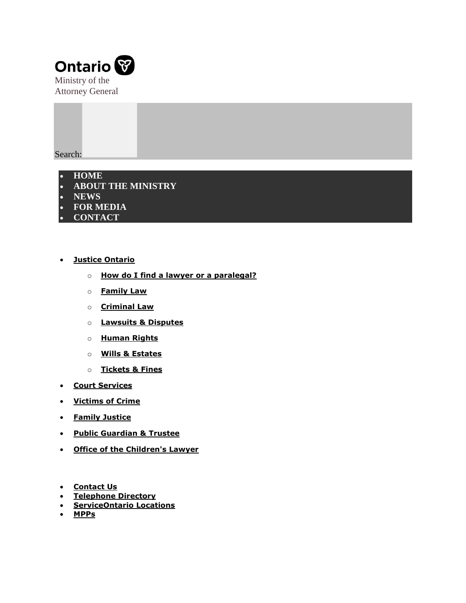

Search:



- **[Justice Ontario](https://www.attorneygeneral.jus.gov.on.ca/english/justice-ont/index.php)**
	- o **[How do I find a lawyer or a paralegal?](https://www.attorneygeneral.jus.gov.on.ca/english/justice-ont/find_lawyer.php)**
	- o **[Family Law](https://www.attorneygeneral.jus.gov.on.ca/english/justice-ont/family_law.php)**
	- o **[Criminal Law](https://www.attorneygeneral.jus.gov.on.ca/english/justice-ont/criminal_law.php)**
	- o **[Lawsuits & Disputes](https://www.attorneygeneral.jus.gov.on.ca/english/justice-ont/lawsuits_disputes.php)**
	- o **[Human Rights](https://www.attorneygeneral.jus.gov.on.ca/english/justice-ont/human_rights.php)**
	- o **[Wills & Estates](https://www.attorneygeneral.jus.gov.on.ca/english/justice-ont/estate_planning.php)**
	- o **[Tickets & Fines](https://www.attorneygeneral.jus.gov.on.ca/english/justice-ont/tickets_and_fines.php)**
- **Court [Services](https://www.attorneygeneral.jus.gov.on.ca/english/courts/index.php)**
- **[Victims of Crime](https://www.attorneygeneral.jus.gov.on.ca/english/ovss/index.php)**
- **[Family Justice](https://www.attorneygeneral.jus.gov.on.ca/english/family/index.php)**
- **[Public Guardian & Trustee](https://www.attorneygeneral.jus.gov.on.ca/english/family/pgt/index.php)**
- **[Office of the Children's Lawyer](https://www.ontario.ca/page/office-childrens-lawyer)**
- **•** [Contact Us](https://www.attorneygeneral.jus.gov.on.ca/english/contact.php)
- **[Telephone Directory](http://www.infogo.gov.on.ca/infogo/searchDirectory.do?actionType=searchtelephone&infoType=telephone&locale=en)**
- **[ServiceOntario Locations](https://www.ontario.ca/page/serviceontario-locations-hours-and-contact)**
- **[MPPs](https://www.ola.org/en/members/current)**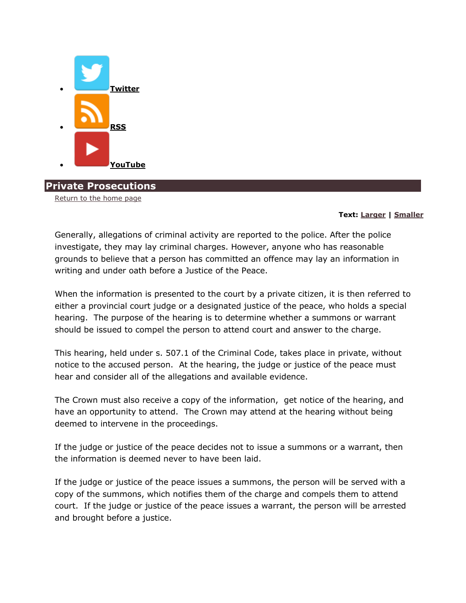

**Private Prosecutions**

[Return to the home page](https://www.attorneygeneral.jus.gov.on.ca/english/)

## **Text: [Larger](https://www.attorneygeneral.jus.gov.on.ca/english/private_prosecution.php) | [Smaller](https://www.attorneygeneral.jus.gov.on.ca/english/private_prosecution.php)**

Generally, allegations of criminal activity are reported to the police. After the police investigate, they may lay criminal charges. However, anyone who has reasonable grounds to believe that a person has committed an offence may lay an information in writing and under oath before a Justice of the Peace.

When the information is presented to the court by a private citizen, it is then referred to either a provincial court judge or a designated justice of the peace, who holds a special hearing. The purpose of the hearing is to determine whether a summons or warrant should be issued to compel the person to attend court and answer to the charge.

This hearing, held under s. 507.1 of the Criminal Code, takes place in private, without notice to the accused person. At the hearing, the judge or justice of the peace must hear and consider all of the allegations and available evidence.

The Crown must also receive a copy of the information, get notice of the hearing, and have an opportunity to attend. The Crown may attend at the hearing without being deemed to intervene in the proceedings.

If the judge or justice of the peace decides not to issue a summons or a warrant, then the information is deemed never to have been laid.

If the judge or justice of the peace issues a summons, the person will be served with a copy of the summons, which notifies them of the charge and compels them to attend court. If the judge or justice of the peace issues a warrant, the person will be arrested and brought before a justice.